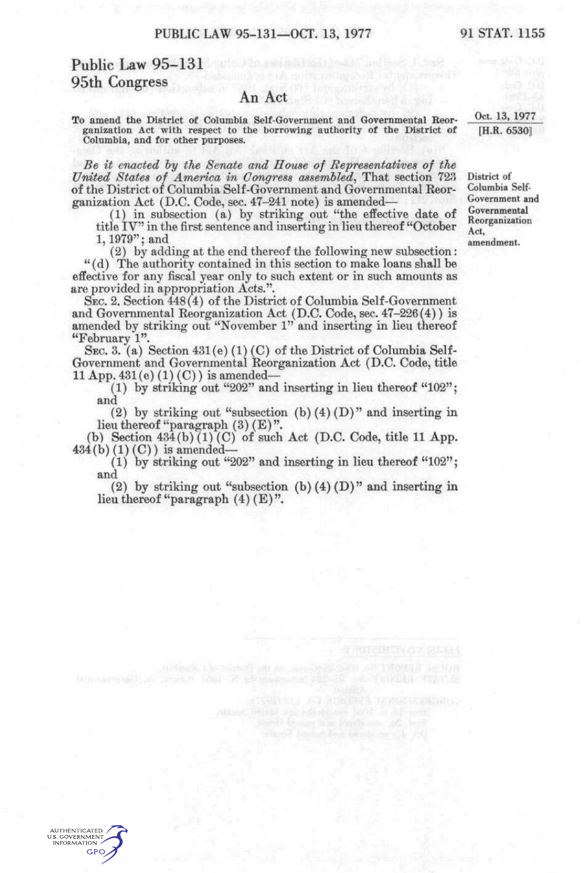## Public Law 95-131 95th Congress

## An Act

To amend the District of Columbia Self-Government and Governmental Reorganization Act with respect to the borrowing authority of the District of Columbia, and for other purposes.

*Be it enacted hy the Senate and House of Representati'ves of the United States of America in Congress assembled*, That section 723 of the District of Columbia Self-Government and Governmental Reorganization Act (D.C. Code, sec. 47-241 note) is amended—

(1) in subsection (a) by striking out "the effective date of title IV" in the first sentence and inserting in lieu thereof "October 1,1979"; and

(2) by adding at the end thereof the following new subsection: "(d) The authority contained in this section to make loans shall be effective for any fiscal year only to such extent or in such amounts as are provided in appropriation Acts.".

SEC. 2. Section 448(4) of the District of Columbia Self-Government and Governmental Reorganization Act (D.C. Code, sec. 47-226(4)) is amended by striking out "November 1" and inserting in lieu thereof "February 1".

SEC. 3. (a) Section 431(e) (1) (C) of the District of Columbia Self-Go vernment and Governmental Reorganization Act (D.C. Code, title 11 App.  $431(e) (1) (C)$  is amended-

(1) by striking out "202" and inserting in lieu thereof "102"; and

(2) by striking out "subsection (b)  $(4)$  (D)" and inserting in lieu thereof "paragraph  $(3)$   $(E)$ ".

(b) Section  $434(b)(1)(C)$  of such Act (D.C. Code, title 11 App.  $434(b)(1)(C)$  is amended-

(1) by striking out "202" and inserting in lieu thereof " $102$ "; and

(2) by striking out "subsection (b)  $(4)$  (D)" and inserting in lieu thereof "paragraph  $(4)$   $(E)$ ".

District of Columbia Self-

Oct. 13. 1977 [H.R. 6530]

Government and Governmental Reorganization Act, amendment.